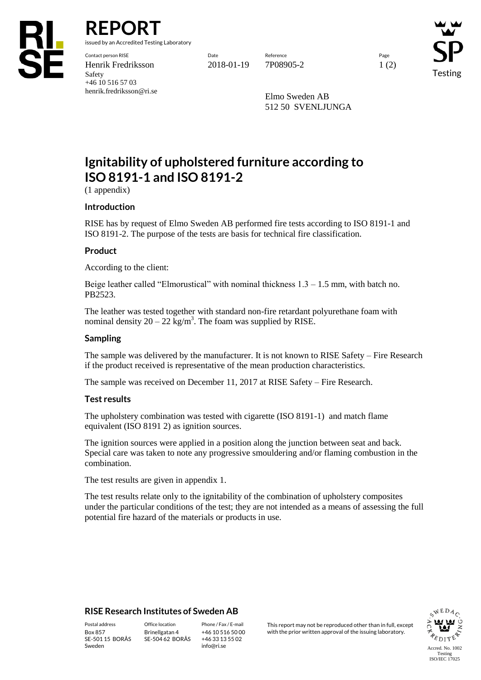

**REPORT**

issued by an Accredited Testing Laboratory

Contact person RISE Date Reference Page Henrik Fredriksson 2018-01-19 7P08905-2 1 (2) Safety +46 10 516 57 03 henrik.fredriksson@ri.se

Testing

Elmo Sweden AB 512 50 SVENLJUNGA

# **Ignitability of upholstered furniture according to ISO 8191-1 and ISO 8191-2**

(1 appendix)

# **Introduction**

RISE has by request of Elmo Sweden AB performed fire tests according to ISO 8191-1 and ISO 8191-2. The purpose of the tests are basis for technical fire classification.

# **Product**

According to the client:

Beige leather called "Elmorustical" with nominal thickness  $1.3 - 1.5$  mm, with batch no. PB2523.

The leather was tested together with standard non-fire retardant polyurethane foam with nominal density  $20 - 22$  kg/m<sup>3</sup>. The foam was supplied by RISE.

#### **Sampling**

The sample was delivered by the manufacturer. It is not known to RISE Safety – Fire Research if the product received is representative of the mean production characteristics.

The sample was received on December 11, 2017 at RISE Safety – Fire Research.

#### **Test results**

The upholstery combination was tested with cigarette (ISO 8191-1) and match flame equivalent (ISO 8191 2) as ignition sources.

The ignition sources were applied in a position along the junction between seat and back. Special care was taken to note any progressive smouldering and/or flaming combustion in the combination.

The test results are given in appendix 1.

The test results relate only to the ignitability of the combination of upholstery composites under the particular conditions of the test; they are not intended as a means of assessing the full potential fire hazard of the materials or products in use.

# **RISE Research Institutes of Sweden AB**

SE-501 15 BORÅS Sweden

Brinellgatan 4 SE-504 62 BORÅS

+46 10 516 50 00 +46 33 13 55 02 info@ri.se

Postal address Office location Phone / Fax / E-mail This report may not be reproduced other than in full, except Box 857 Brinellgatan 4 +46 10 516 50 00 with the prior written approval of the issuing laboratory.

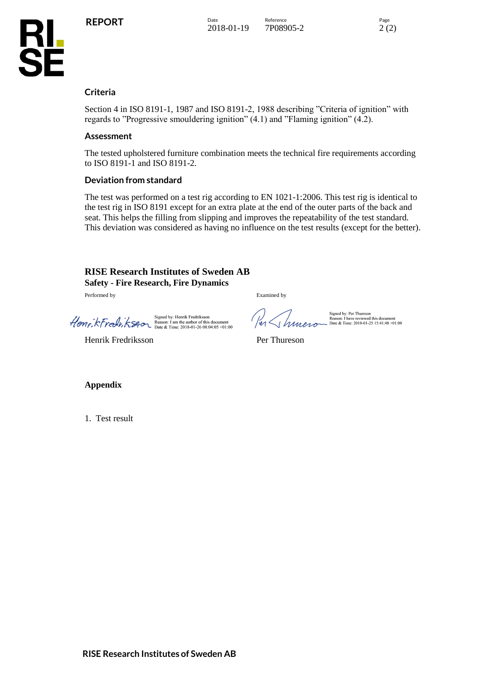



#### **Criteria**

Section 4 in ISO 8191-1, 1987 and ISO 8191-2, 1988 describing "Criteria of ignition" with regards to "Progressive smouldering ignition" (4.1) and "Flaming ignition" (4.2).

#### **Assessment**

The tested upholstered furniture combination meets the technical fire requirements according to ISO 8191-1 and ISO 8191-2.

#### **Deviation from standard**

The test was performed on a test rig according to EN 1021-1:2006. This test rig is identical to the test rig in ISO 8191 except for an extra plate at the end of the outer parts of the back and seat. This helps the filling from slipping and improves the repeatability of the test standard. This deviation was considered as having no influence on the test results (except for the better).

# **RISE Research Institutes of Sweden AB Safety - Fire Research, Fire Dynamics**

Performed by Examined by

Signed by: Henrik Fredriksson<br>
Henry, KFredr, KS40 Beason: 1 am the author of this document<br>
Date & Time: 2018-01-26 08:04:05 +01:00

er Librario

Signed by: Per Thureson<br>Reason: I have reviewed this document<br>Late & Time: 2018-01-25 15:41:48 +01:00

Henrik Fredriksson Per Thureson

**Appendix**

1. Test result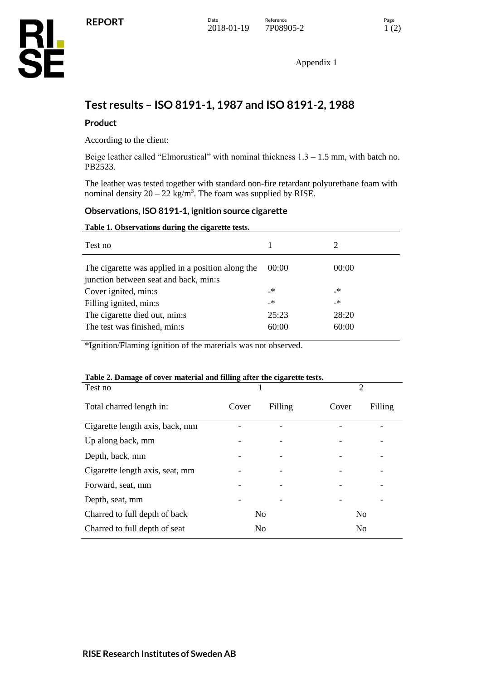Appendix 1

# **Test results – ISO 8191-1, 1987 and ISO 8191-2, 1988**

# **Product**

According to the client:

Beige leather called "Elmorustical" with nominal thickness  $1.3 - 1.5$  mm, with batch no. PB2523.

The leather was tested together with standard non-fire retardant polyurethane foam with nominal density  $20 - 22$  kg/m<sup>3</sup>. The foam was supplied by RISE.

#### **Observations, ISO 8191-1, ignition source cigarette**

#### **Table 1. Observations during the cigarette tests.**

| Test no                                                                                    |               |       |
|--------------------------------------------------------------------------------------------|---------------|-------|
| The cigarette was applied in a position along the<br>junction between seat and back, min:s | 00:00         | 00:00 |
| Cover ignited, min:s                                                                       | _*            | _*    |
| Filling ignited, min:s                                                                     | $\rightarrow$ | _*    |
| The cigarette died out, min:s                                                              | 25:23         | 28:20 |
| The test was finished, min:s                                                               | 60:00         | 60:00 |
|                                                                                            |               |       |

\*Ignition/Flaming ignition of the materials was not observed.

#### **Table 2. Damage of cover material and filling after the cigarette tests.**

| Test no                         |       |                | 2              |         |
|---------------------------------|-------|----------------|----------------|---------|
| Total charred length in:        | Cover | Filling        | Cover          | Filling |
| Cigarette length axis, back, mm |       |                |                |         |
| Up along back, mm               |       |                |                |         |
| Depth, back, mm                 |       |                |                |         |
| Cigarette length axis, seat, mm |       |                |                |         |
| Forward, seat, mm               |       |                |                |         |
| Depth, seat, mm                 |       |                |                |         |
| Charred to full depth of back   |       | N <sub>0</sub> | N <sub>0</sub> |         |
| Charred to full depth of seat   |       | N <sub>0</sub> | N <sub>0</sub> |         |